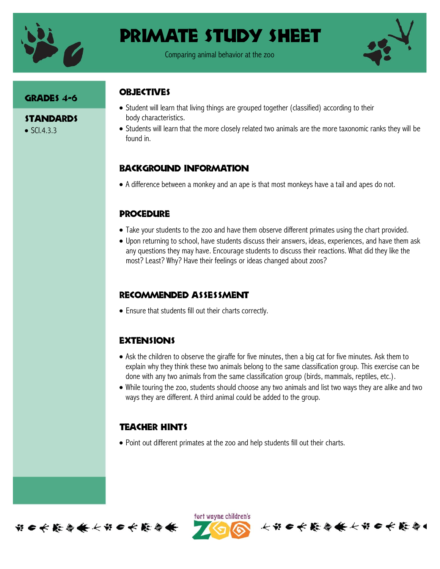

# Primate Study Sheet

Comparing animal behavior at the zoo



#### GRADES 4-6

**STANDARDS**  $\bullet$  SCI.4.3.3

# **OBJECTIVES**

- Student will learn that living things are grouped together (classified) according to their body characteristics.
- Students will learn that the more closely related two animals are the more taxonomic ranks they will be found in.

# Background information

A difference between a monkey and an ape is that most monkeys have a tail and apes do not.

# **PROCEDURE**

- Take your students to the zoo and have them observe different primates using the chart provided.
- Upon returning to school, have students discuss their answers, ideas, experiences, and have them ask any questions they may have. Encourage students to discuss their reactions. What did they like the most? Least? Why? Have their feelings or ideas changed about zoos?

# Recommended assessment

Ensure that students fill out their charts correctly.

# **EXTENSIONS**

- Ask the children to observe the giraffe for five minutes, then a big cat for five minutes. Ask them to explain why they think these two animals belong to the same classification group. This exercise can be done with any two animals from the same classification group (birds, mammals, reptiles, etc.).
- While touring the zoo, students should choose any two animals and list two ways they are alike and two ways they are different. A third animal could be added to the group.

# Teacher Hints

Point out different primates at the zoo and help students fill out their charts.



ført wayne children's